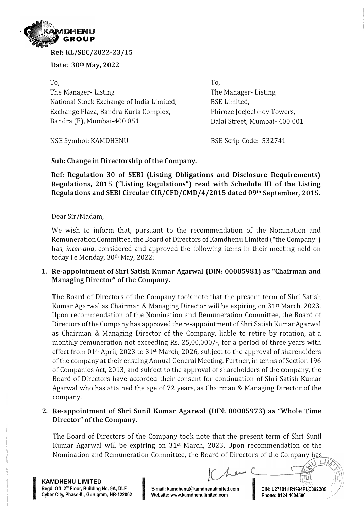

**Ref: KL/SEC/2022-23/15** 

**Date: 30th May, 2022** 

**To,**  The Manager- Listing National Stock Exchange of India Limited, Exchange Plaza, Bandra Kurla Complex, Bandra (E), Mumbai-400 051

To, The Manager- Listing BSE Limited, Phiroze Jeejeebhoy Towers, Dalal Street, Mumbai- 400 001

NSE Symbol: KAMDHENU

BSE Scrip Code: 532741

**Sub: Change in Directorship of the Company.** 

**Ref: Regulation 30 of SEBI (Listing Obligations and Disclosure Requirements) Regulations, 2015 ("Listing Regulations") read with Schedule III of the Listing Regulations and SEBI Circular CIR/CFD/CMD/4/2015 dated 09th September, 2015.** 

Dear Sir /Madam,

We wish to inform that, pursuant to the recommendation of the Nomination and Remuneration Committee, the Board of Directors of Kamdhenu Limited ("the Company") has, *inter-alia,* considered and approved the following items in their meeting held on today i.e Monday, 30th May, 2022:

**1. Re-appointment of Shri Satish Kumar Agarwal (DIN: 00005981) as "Chairman and Managing Director" of the Company.**

The Board of Directors of the Company took note that the present term of Shri Satish Kumar Agarwal as Chairman & Managing Director will be expiring on 31st March, 2023. Upon recommendation of the Nomination and Remuneration Committee, the Board of Directors of the Company has approved the re-appointment of Shri Satish Kumar Agarwal as Chairman & Managing Director of the Company, liable to retire by rotation, at a monthly remuneration not exceeding Rs. 25,00,000/-, for a period of three years with effect from 01st April, 2023 to 31st March, 2026, subject to the approval of shareholders of the company at their ensuing Annual General Meeting. Further, in terms of Section 196 of Companies Act, 2013, and subject to the approval of shareholders of the company, the Board of Directors have accorded their consent for continuation of Shri Satish Kumar Agarwal who has attained the age of 72 years, as Chairman & Managing Director of the company.

**2. Re-appointment of Shri Sunil Kumar Agarwal (DIN: 00005973) as "Whole Time Director" of the Company.**

The Board of Directors of the Company took note that the present term of Shri Sunil Kumar Agarwal will be expiring on 31st March, 2023. Upon recommendation of the Nomination and Remuneration Committee, the Board of Directors of the Company h

**KAMDHENU LIMITED**  Regd. Off. 2<sup>nd</sup> Floor, Building No. 9A, DLF **Cyber City, Phase-Ill, Gurugram, HR-122002** I **E-mail: kamdhenu@kamdhenulimited.com**

In the College process of the College of

E-mail: kamdhenu@kamdhenulimited.com **Information CIN: L27101HR1994PLC092205**<br>Website: www.kamdhenulimited.com Phone: 0124 4604500

1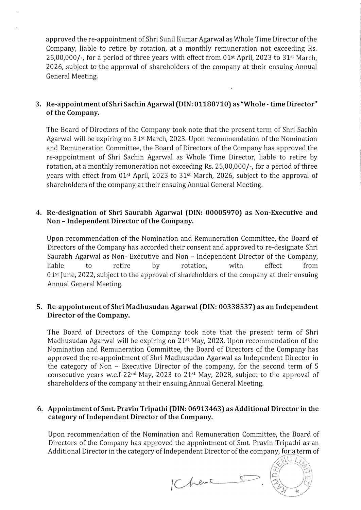approved the re-appointment of Shri Sunil Kumar Agarwal as Whole Time Director of the Company, liable to retire by rotation, at a monthly remuneration not exceeding Rs. 25,00,000/-, for a period of three years with effect from 01st April, 2023 to 31st March, 2026, subject to the approval of shareholders of the company at their ensuing Annual General Meeting.

## **3. Re-appointment of Shri Sa chin Agarwal (DIN: 01188710) as "Whole - time Director" of the Company.**

The Board of Directors of the Company took note that the present term of Shri Sachin Agarwal will be expiring on 31st March, 2023. Upon recommendation of the Nomination and Remuneration Committee, the Board of Directors of the Company has approved the re-appointment of Shri Sachin Agarwal as Whole Time Director, liable to retire by rotation, at a monthly remuneration not exceeding Rs. 25,00,000/-, for a period of three years with effect from 01st April, 2023 to 31st March, 2026, subject to the approval of shareholders of the company at their ensuing Annual General Meeting.

## **4. Re-designation of Shri Saurabh Agarwal (DIN: 00005970) as Non-Executive and Non - Independent Director of the Company.**

Upon recommendation of the Nomination and Remuneration Committee, the Board of Directors of the Company has accorded their consent and approved to re-designate Shri Saurabh Agarwal as Non- Executive and Non - Independent Director of the Company, liable to retire by rotation, with effect from 01st June, 2022, subject to the approval of shareholders of the company at their ensuing Annual General Meeting.

## **5. Re-appointment of Shri Madhusudan Agarwal (DIN: 00338537) as an Independent Director of the Company.**

The Board of Directors of the Company took note that the present term of Shri Madhusudan Agarwal will be expiring on 21st May, 2023. Upon recommendation of the Nomination and Remuneration Committee, the Board of Directors of the Company has approved the re-appointment of Shri Madhusudan Agarwal as Independent Director in the category of Non - Executive Director of the company, for the second term of 5 consecutive years w.e.f 22nd May, 2023 to 21st May, 2028, subject to the approval of shareholders of the company at their ensuing Annual General Meeting.

## **6. Appointment of Smt. Pravin Tripathi (DIN: 06913463) as Additional Director in the category of Independent Director of the Company.**

Upon recommendation of the Nomination and Remuneration Committee, the Board of Directors of the Company has approved the appointment of Smt. Pravin Tripathi as an Additional Director in the category of Independent Director of the company, for a term of

IChenc

ベリノ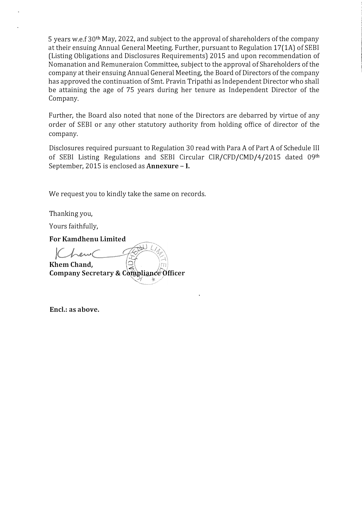5 years w.e.f 30th May, 2022, and subject to the approval of shareholders of the company at their ensuing Annual General Meeting. Further, pursuant to Regulation 17(1A) of SEBI (Listing Obligations and Disclosures Requirements) 2015 and upon recommendation of Nomanation and Remuneraion Committee, subject to the approval of Shareholders of the company at their ensuing Annual General Meeting, the Board of Directors of the company has approved the continuation of Smt. Pravin Tripathi as Independent Director who shall be attaining the age of 75 years during her tenure as Independent Director of the Company.

Further, the Board also noted that none of the Directors are debarred by virtue of any order of SEBI or any other statutory authority from holding office of director of the company.

Disclosures required pursuant to Regulation 30 read with Para A of Part A of Schedule III of SEBI Listing Regulations and SEBI Circular CIR/CFD/CMD/4/2015 dated 09th September, 2015 is enclosed as **Annexure - I.** 

We request you to kindly take the same on records.

Thanking you,

Yours faithfully,

**For Kamdhenu Limited** 

K trent ,, **Khem Chand,**  $\begin{bmatrix} 0 \\ 1 \end{bmatrix}$ **,**  $\begin{bmatrix} 1 \\ 2 \end{bmatrix}$ **Company Secretary & Compliance Officer** �.- ,

**Encl.: as above.**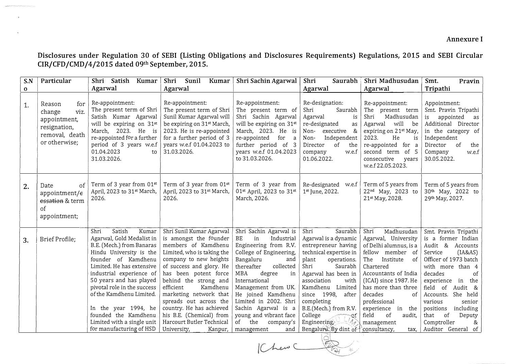**Disclosures under Regulation 30 of SEBI (Listing Obligations and Disclosures Requirements) Regulations, 2015 and SEBI Circular CIR/CFD/CMD/4/2015 dated 09th September, 2015.** 

| S.N          | Particular                                                                                         | Shri<br>Satish<br>Kumar                                                                                                                                                                                                                                                                                                                                                                      | Shri<br>Sunil<br>Kumar                                                                                                                                                                                                                                                                                                                                                                                      | Shri Sachin Agarwal                                                                                                                                                                                                                                                                                                                                               | Shri<br>Saurabh                                                                                                                                                                                                                                                                                                                                           | Shri Madhusudan                                                                                                                                                                                                                                                                                                | Smt.<br>Pravin                                                                                                                                                                                                                                                                                                                                 |
|--------------|----------------------------------------------------------------------------------------------------|----------------------------------------------------------------------------------------------------------------------------------------------------------------------------------------------------------------------------------------------------------------------------------------------------------------------------------------------------------------------------------------------|-------------------------------------------------------------------------------------------------------------------------------------------------------------------------------------------------------------------------------------------------------------------------------------------------------------------------------------------------------------------------------------------------------------|-------------------------------------------------------------------------------------------------------------------------------------------------------------------------------------------------------------------------------------------------------------------------------------------------------------------------------------------------------------------|-----------------------------------------------------------------------------------------------------------------------------------------------------------------------------------------------------------------------------------------------------------------------------------------------------------------------------------------------------------|----------------------------------------------------------------------------------------------------------------------------------------------------------------------------------------------------------------------------------------------------------------------------------------------------------------|------------------------------------------------------------------------------------------------------------------------------------------------------------------------------------------------------------------------------------------------------------------------------------------------------------------------------------------------|
| $\mathbf{o}$ |                                                                                                    | Agarwal                                                                                                                                                                                                                                                                                                                                                                                      | Agarwal                                                                                                                                                                                                                                                                                                                                                                                                     |                                                                                                                                                                                                                                                                                                                                                                   | Agarwal                                                                                                                                                                                                                                                                                                                                                   | Agarwal                                                                                                                                                                                                                                                                                                        | Tripathi                                                                                                                                                                                                                                                                                                                                       |
| 1.           | Reason<br>for<br>viz.<br>change<br>appointment,<br>resignation,<br>removal, death<br>or otherwise; | Re-appointment:<br>The present term of Shri<br>Satish Kumar Agarwal<br>will be expiring on 31st<br>March,<br>2023. He<br>is<br>re-appointed for a further<br>period of 3 years w.e.f<br>01.04.2023<br>to<br>31.03.2026.                                                                                                                                                                      | Re-appointment:<br>The present term of Shri<br>Sunil Kumar Agarwal will<br>be expiring on 31 <sup>st</sup> March,<br>2023. He is re-appointed<br>for a further period of 3<br>years w.e.f 01.04.2023 to<br>31.03.2026.                                                                                                                                                                                      | Re-appointment:<br>The present term of<br>Shri Sachin Agarwal<br>will be expiring on 31 <sup>st</sup><br>March, 2023. He is<br>re-appointed<br>for<br>further period of 3<br>years w.e.f 01.04.2023<br>to 31.03.2026.                                                                                                                                             | Re-designation:<br>Shri<br>Saurabh<br>Agarwal<br>is<br>re-designated<br>as<br>&<br>Non-<br>executive<br>Independent<br>Non-<br>of<br>the<br>Director<br>w.e.f<br>company<br>01.06.2022.                                                                                                                                                                   | Re-appointment:<br>The present term<br>Shri<br>Madhusudan<br>will<br>Agarwal<br>be<br>expiring on 21st May,<br>2023.<br>He<br>is<br>re-appointed for a<br>second term of 5<br>consecutive<br>years<br>w.e.f 22.05.2023.                                                                                        | Appointment:<br>Smt. Pravin Tripathi<br>appointed<br>is<br>as<br>Additional Director<br>in the category of<br>Independent<br><sub>of</sub><br>Director<br>the<br>w.e.f<br>Company<br>30.05.2022.                                                                                                                                               |
| 2.           | of<br>Date<br>appointment/e<br>essation & term<br>of<br>appointment;                               | Term of 3 year from 01st<br>April, 2023 to 31st March,<br>2026.                                                                                                                                                                                                                                                                                                                              | Term of 3 year from 01st<br>April, 2023 to 31st March,<br>2026.                                                                                                                                                                                                                                                                                                                                             | Term of 3 year from<br>01st April, 2023 to 31st<br>March, 2026.                                                                                                                                                                                                                                                                                                   | Re-designated<br>w.e.f<br>1st June, 2022.                                                                                                                                                                                                                                                                                                                 | Term of 5 years from<br>22nd May, 2023 to<br>21st May, 2028.                                                                                                                                                                                                                                                   | Term of 5 years from<br>30 <sup>th</sup> May, 2022 to<br>29th May, 2027.                                                                                                                                                                                                                                                                       |
| 3.           | Brief Profile;                                                                                     | Satish<br>Shri<br>Kumar<br>Agarwal, Gold Medalist in<br>B.E. (Mech.) from Banaras<br>Hindu University is the<br>founder of Kamdhenu<br>Limited. He has extensive<br>industrial experience of<br>50 years and has played<br>pivotal role in the success<br>of the Kamdhenu Limited.<br>In the year 1994, he<br>founded the Kamdhenu<br>Limited with a single unit<br>for manufacturing of HSD | Shri Sunil Kumar Agarwal<br>is amongst the founder<br>members of Kamdhenu<br>Limited, who is taking the<br>company to new heights<br>of success and glory. He<br>has been potent force<br>behind the strong and<br>efficient<br>Kamdhenu<br>marketing network that<br>spreads out across the<br>country. He has achieved<br>his B.E. (Chemical) from<br>Harcourt Butler Technical<br>University,<br>Kanpur, | Shri Sachin Agarwal is<br>BE<br>in<br>Industrial<br>Engineering from R.V.<br>College of Engineering,<br>Bangaluru<br>and<br>collected<br>thereafter<br>MBA<br>degree<br>in<br>International<br>Management from UK.<br>He joined Kamdhenu<br>Limited in 2002. Shri<br>Sachin Agarwal is a<br>young and vibrant face<br>of<br>the<br>company's<br>management<br>and | Shri<br>Saurabh<br>Agarwal is a dynamic<br>entrepreneur having<br>technical expertise in<br>operations.<br>plant<br>Shri<br>Saurabh<br>Agarwal has been in<br>association<br>with<br>Kamdhenu Limited<br>since 1998,<br>after<br>completing<br>B.E.(Mech.) from R.V.<br>College<br>$\sim$ of<br>Engineering.<br>Bengalury $\beta$ y dint of \consultancy, | Madhusudan<br>Shri<br>Agarwal, University<br>of Delhi alumnus, is a<br>fellow member of<br>The<br>Institute<br>of<br>Chartered<br>Accountants of India<br>(ICAI) since 1987. He<br>has more than three<br>decades<br>Ωf<br>professional<br>experience<br>in the<br>field<br>of<br>audit,<br>management<br>tax, | Smt. Pravin Tripathi<br>is a former Indian<br>Audit & Accounts<br>[IA&AS]<br>Service<br>Officer of 1973 batch<br>with more than 4<br>decades<br>οf<br>experience in<br>the<br>field<br>of<br>Audit &<br>She held<br>Accounts.<br>various<br>senior<br>including<br>positions<br>that<br>of<br>Deputy<br>Comptroller<br>&<br>Auditor General of |